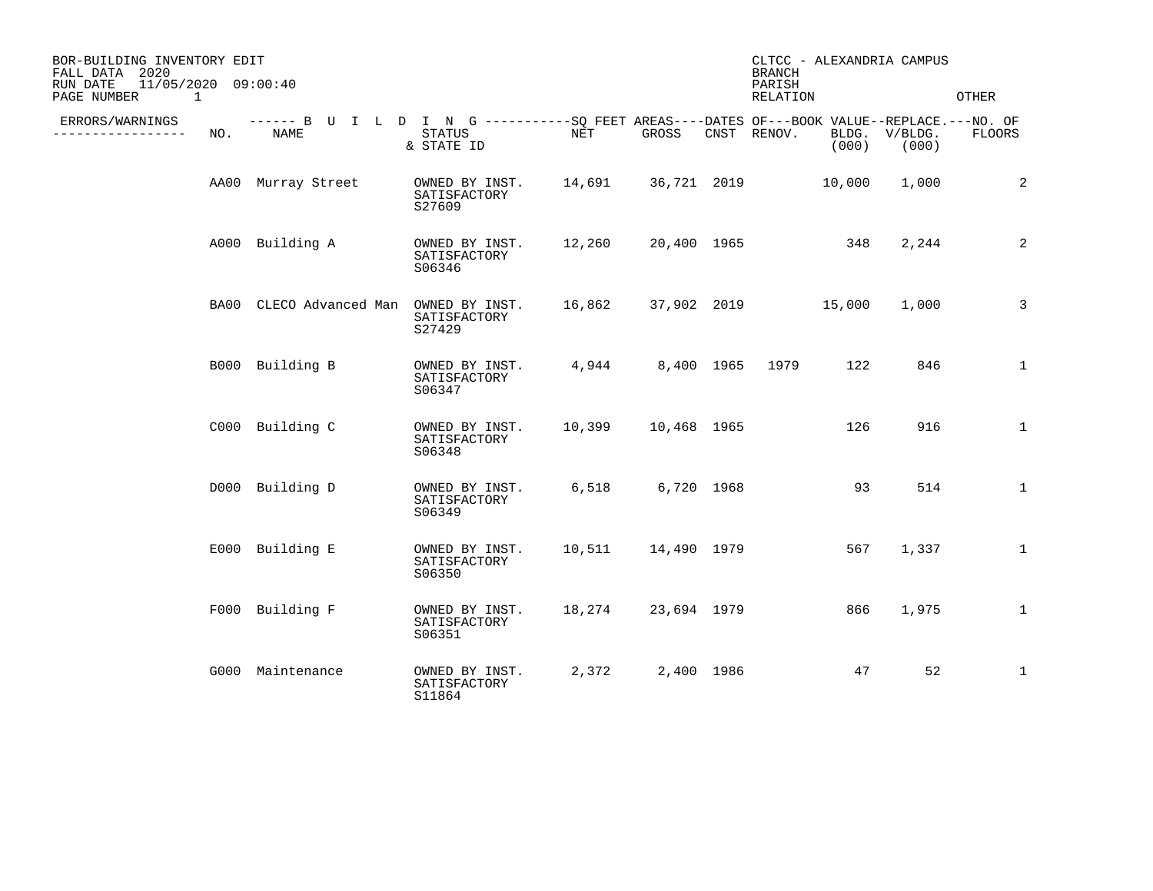| BOR-BUILDING INVENTORY EDIT<br>FALL DATA 2020<br>11/05/2020 09:00:40<br>RUN DATE<br>PAGE NUMBER<br>1 |     |                                                                                                           |                                                                    |                           |                      | <b>BRANCH</b><br>PARISH<br>RELATION |       | CLTCC - ALEXANDRIA CAMPUS | OTHER        |
|------------------------------------------------------------------------------------------------------|-----|-----------------------------------------------------------------------------------------------------------|--------------------------------------------------------------------|---------------------------|----------------------|-------------------------------------|-------|---------------------------|--------------|
| ERRORS/WARNINGS<br>------------                                                                      | NO. | ------ B U I L D I N G ----------SO FEET AREAS----DATES OF---BOOK VALUE--REPLACE.---NO. OF<br><b>NAME</b> | STATUS<br>& STATE ID                                               | NET                       | GROSS                | CNST RENOV.                         | (000) | BLDG. V/BLDG.<br>(000)    | FLOORS       |
|                                                                                                      |     | AA00 Murray Street                                                                                        | OWNED BY INST. 14,691 36,721 2019 10,000<br>SATISFACTORY<br>S27609 |                           |                      |                                     |       | 1,000                     | 2            |
|                                                                                                      |     | A000 Building A                                                                                           | OWNED BY INST.<br>SATISFACTORY<br>S06346                           | 12,260                    | 20,400 1965          |                                     | 348   | 2,244                     | 2            |
|                                                                                                      |     | BA00 CLECO Advanced Man OWNED BY INST.                                                                    | SATISFACTORY<br>S27429                                             | 16,862 37,902 2019 15,000 |                      |                                     |       | 1,000                     | $\mathbf{3}$ |
|                                                                                                      |     | B000 Building B                                                                                           | OWNED BY INST.<br>SATISFACTORY<br>S06347                           | 4,944                     |                      | 8,400 1965 1979                     | 122   | 846                       | $\mathbf{1}$ |
|                                                                                                      |     | C000 Building C                                                                                           | OWNED BY INST.<br>SATISFACTORY<br>S06348                           | 10,399                    | 10,468 1965          |                                     | 126   | 916                       | $\mathbf{1}$ |
|                                                                                                      |     | D000 Building D                                                                                           | OWNED BY INST.<br>SATISFACTORY<br>S06349                           | 6,518                     | 6,720 1968           |                                     | 93    | 514                       | $\mathbf{1}$ |
|                                                                                                      |     | E000 Building E                                                                                           | OWNED BY INST.<br>SATISFACTORY<br>S06350                           |                           | 10,511  14,490  1979 |                                     | 567   | 1,337                     | $\mathbf{1}$ |
|                                                                                                      |     | F000 Building F                                                                                           | OWNED BY INST.<br>SATISFACTORY<br>S06351                           | 18,274                    | 23,694 1979          |                                     | 866   | 1,975                     | $\mathbf 1$  |
|                                                                                                      |     | G000 Maintenance                                                                                          | OWNED BY INST.<br>SATISFACTORY<br>S11864                           | 2,372                     | 2,400 1986           |                                     | 47    | 52                        | $\mathbf{1}$ |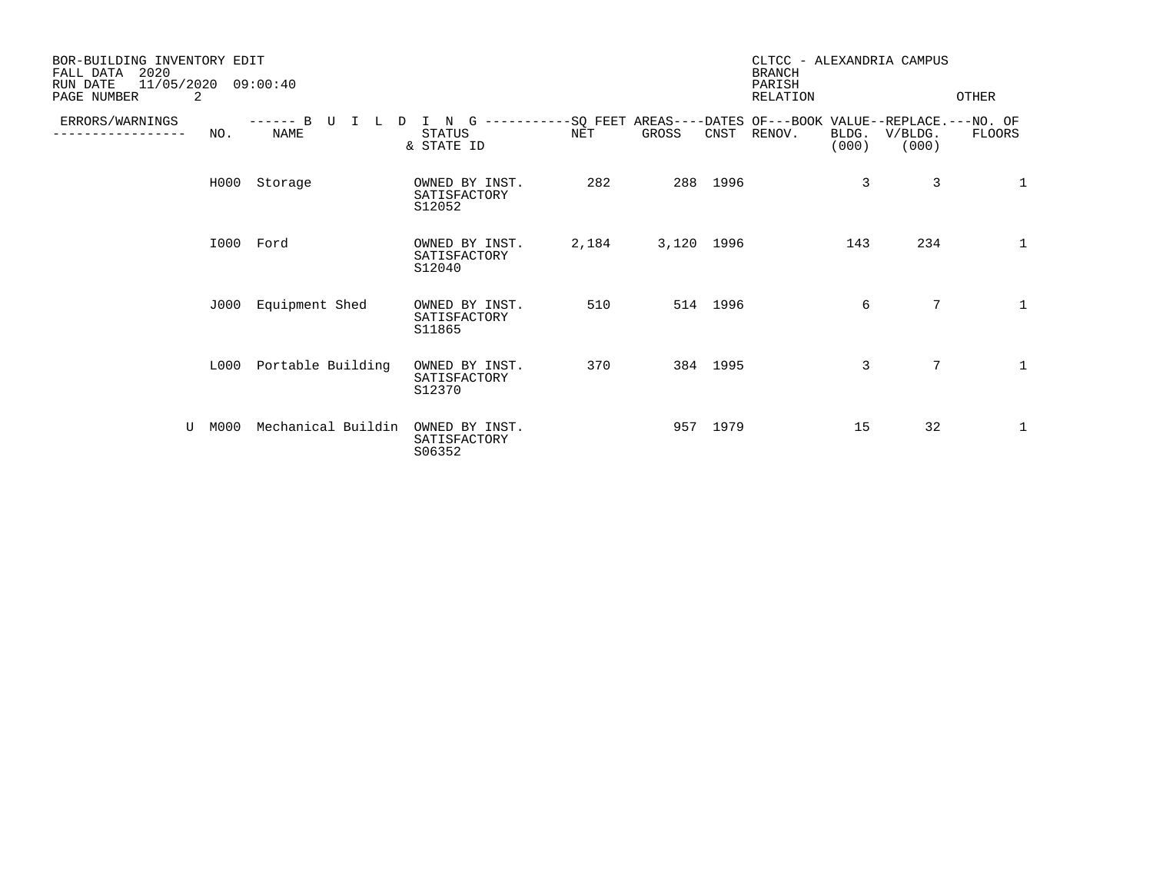| BOR-BUILDING INVENTORY EDIT<br>2020<br>FALL DATA<br>11/05/2020<br>RUN DATE<br>PAGE NUMBER | 2    | 09:00:40                         |                                          |       |                                                                               |          | CLTCC - ALEXANDRIA CAMPUS<br><b>BRANCH</b><br>PARISH<br><b>RELATION</b> |                |                  | OTHER        |
|-------------------------------------------------------------------------------------------|------|----------------------------------|------------------------------------------|-------|-------------------------------------------------------------------------------|----------|-------------------------------------------------------------------------|----------------|------------------|--------------|
| ERRORS/WARNINGS                                                                           | NO.  | B<br>------<br>τT<br><b>NAME</b> | N<br>G<br><b>STATUS</b><br>& STATE ID    | NET   | -----------SO FEET AREAS----DATES OF---BOOK VALUE--REPLACE.---NO. OF<br>GROSS | CNST     | RENOV.                                                                  | BLDG.<br>(000) | V/BLDG.<br>(000) | FLOORS       |
|                                                                                           | H000 | Storage                          | OWNED BY INST.<br>SATISFACTORY<br>S12052 | 282   |                                                                               | 288 1996 |                                                                         | 3              | 3                | $\mathbf 1$  |
|                                                                                           |      | I000 Ford                        | OWNED BY INST.<br>SATISFACTORY<br>S12040 | 2,184 | 3,120 1996                                                                    |          |                                                                         | 143            | 234              | 1            |
|                                                                                           | J000 | Equipment Shed                   | OWNED BY INST.<br>SATISFACTORY<br>S11865 | 510   |                                                                               | 514 1996 |                                                                         | 6              | $7\phantom{.0}$  | $\mathbf{1}$ |
|                                                                                           | L000 | Portable Building                | OWNED BY INST.<br>SATISFACTORY<br>S12370 | 370   |                                                                               | 384 1995 |                                                                         | 3              | 7                | $\mathbf{1}$ |
| U                                                                                         | M000 | Mechanical Buildin               | OWNED BY INST.<br>SATISFACTORY<br>S06352 |       |                                                                               | 957 1979 |                                                                         | 15             | 32               | 1            |